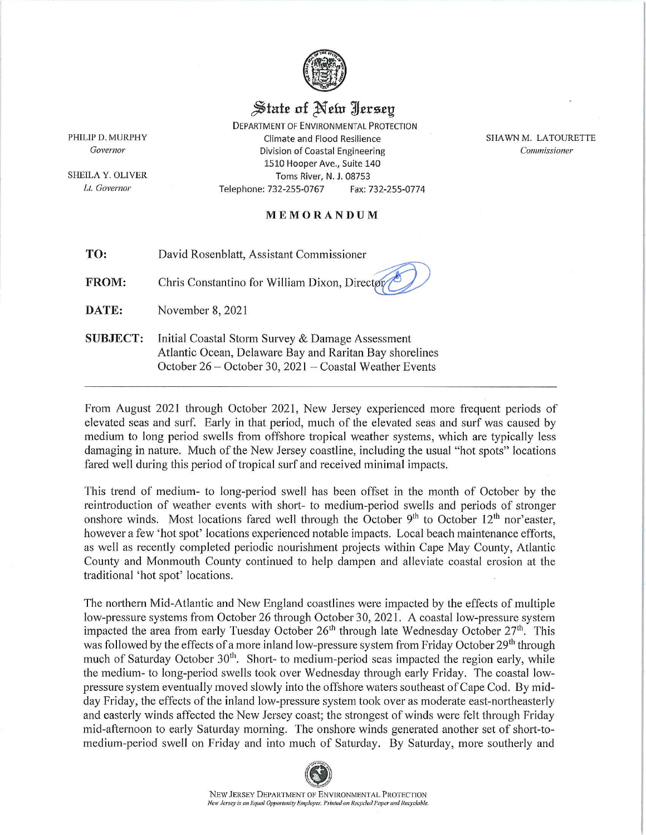

## State of New Jersey

**DEPARTMENT OF ENVIRONMENTAL PROTECTION** Climate and Flood Resilience **Division of Coastal Engineering** 1510 Hooper Ave., Suite 140 Toms River, N. J. 08753 Telephone: 732-255-0767 Fax: 732-255-0774

**SHAWN M. LATOURETTE** Commissioner

## MEMORANDUM

TO: David Rosenblatt, Assistant Commissioner

**FROM:** Chris Constantino for William Dixon, Director

DATE: November 8, 2021

**SUBJECT:** Initial Coastal Storm Survey & Damage Assessment Atlantic Ocean, Delaware Bay and Raritan Bay shorelines October 26 – October 30, 2021 – Coastal Weather Events

From August 2021 through October 2021, New Jersey experienced more frequent periods of elevated seas and surf. Early in that period, much of the elevated seas and surf was caused by medium to long period swells from offshore tropical weather systems, which are typically less damaging in nature. Much of the New Jersey coastline, including the usual "hot spots" locations fared well during this period of tropical surf and received minimal impacts.

This trend of medium- to long-period swell has been offset in the month of October by the reintroduction of weather events with short- to medium-period swells and periods of stronger onshore winds. Most locations fared well through the October 9<sup>th</sup> to October 12<sup>th</sup> nor'easter, however a few 'hot spot' locations experienced notable impacts. Local beach maintenance efforts, as well as recently completed periodic nourishment projects within Cape May County, Atlantic County and Monmouth County continued to help dampen and alleviate coastal erosion at the traditional 'hot spot' locations.

The northern Mid-Atlantic and New England coastlines were impacted by the effects of multiple low-pressure systems from October 26 through October 30, 2021. A coastal low-pressure system impacted the area from early Tuesday October  $26<sup>th</sup>$  through late Wednesday October  $27<sup>th</sup>$ . This was followed by the effects of a more inland low-pressure system from Friday October 29<sup>th</sup> through much of Saturday October 30<sup>th</sup>. Short- to medium-period seas impacted the region early, while the medium- to long-period swells took over Wednesday through early Friday. The coastal lowpressure system eventually moved slowly into the offshore waters southeast of Cape Cod. By midday Friday, the effects of the inland low-pressure system took over as moderate east-northeasterly and easterly winds affected the New Jersey coast; the strongest of winds were felt through Friday mid-afternoon to early Saturday morning. The onshore winds generated another set of short-tomedium-period swell on Friday and into much of Saturday. By Saturday, more southerly and



PHILIP D. MURPHY **Governor** 

SHEILA Y. OLIVER Lt. Governor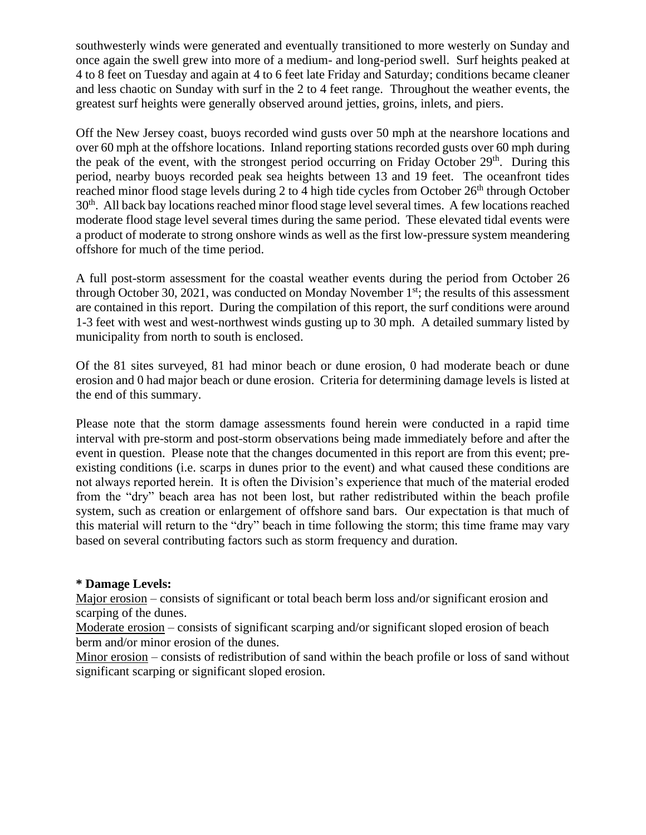southwesterly winds were generated and eventually transitioned to more westerly on Sunday and once again the swell grew into more of a medium- and long-period swell. Surf heights peaked at 4 to 8 feet on Tuesday and again at 4 to 6 feet late Friday and Saturday; conditions became cleaner and less chaotic on Sunday with surf in the 2 to 4 feet range. Throughout the weather events, the greatest surf heights were generally observed around jetties, groins, inlets, and piers.

Off the New Jersey coast, buoys recorded wind gusts over 50 mph at the nearshore locations and over 60 mph at the offshore locations. Inland reporting stations recorded gusts over 60 mph during the peak of the event, with the strongest period occurring on Friday October 29<sup>th</sup>. During this period, nearby buoys recorded peak sea heights between 13 and 19 feet. The oceanfront tides reached minor flood stage levels during 2 to 4 high tide cycles from October 26<sup>th</sup> through October 30<sup>th</sup>. All back bay locations reached minor flood stage level several times. A few locations reached moderate flood stage level several times during the same period. These elevated tidal events were a product of moderate to strong onshore winds as well as the first low-pressure system meandering offshore for much of the time period.

A full post-storm assessment for the coastal weather events during the period from October 26 through October 30, 2021, was conducted on Monday November  $1<sup>st</sup>$ ; the results of this assessment are contained in this report. During the compilation of this report, the surf conditions were around 1-3 feet with west and west-northwest winds gusting up to 30 mph. A detailed summary listed by municipality from north to south is enclosed.

Of the 81 sites surveyed, 81 had minor beach or dune erosion, 0 had moderate beach or dune erosion and 0 had major beach or dune erosion. Criteria for determining damage levels is listed at the end of this summary.

Please note that the storm damage assessments found herein were conducted in a rapid time interval with pre-storm and post-storm observations being made immediately before and after the event in question. Please note that the changes documented in this report are from this event; preexisting conditions (i.e. scarps in dunes prior to the event) and what caused these conditions are not always reported herein. It is often the Division's experience that much of the material eroded from the "dry" beach area has not been lost, but rather redistributed within the beach profile system, such as creation or enlargement of offshore sand bars. Our expectation is that much of this material will return to the "dry" beach in time following the storm; this time frame may vary based on several contributing factors such as storm frequency and duration.

## **\* Damage Levels:**

Major erosion – consists of significant or total beach berm loss and/or significant erosion and scarping of the dunes.

Moderate erosion – consists of significant scarping and/or significant sloped erosion of beach berm and/or minor erosion of the dunes.

Minor erosion – consists of redistribution of sand within the beach profile or loss of sand without significant scarping or significant sloped erosion.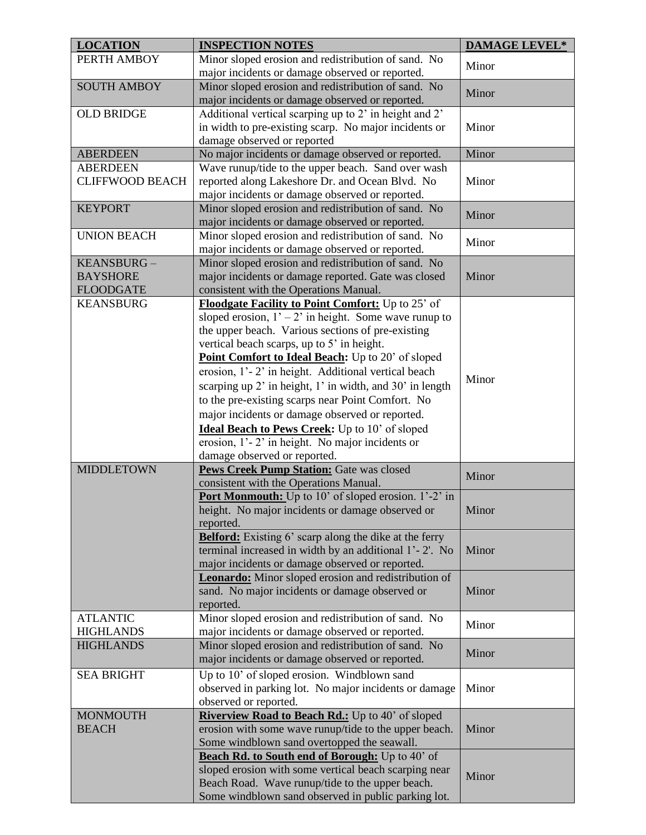| <b>LOCATION</b>                      | <b>INSPECTION NOTES</b>                                                                                | <b>DAMAGE LEVEL*</b> |
|--------------------------------------|--------------------------------------------------------------------------------------------------------|----------------------|
| PERTH AMBOY                          | Minor sloped erosion and redistribution of sand. No                                                    | Minor                |
|                                      | major incidents or damage observed or reported.                                                        |                      |
| <b>SOUTH AMBOY</b>                   | Minor sloped erosion and redistribution of sand. No                                                    | Minor                |
|                                      | major incidents or damage observed or reported.                                                        |                      |
| <b>OLD BRIDGE</b>                    | Additional vertical scarping up to 2' in height and 2'                                                 |                      |
|                                      | in width to pre-existing scarp. No major incidents or                                                  | Minor                |
|                                      | damage observed or reported                                                                            |                      |
| <b>ABERDEEN</b><br><b>ABERDEEN</b>   | No major incidents or damage observed or reported.                                                     | Minor                |
| <b>CLIFFWOOD BEACH</b>               | Wave runup/tide to the upper beach. Sand over wash<br>reported along Lakeshore Dr. and Ocean Blvd. No  | Minor                |
|                                      | major incidents or damage observed or reported.                                                        |                      |
| <b>KEYPORT</b>                       | Minor sloped erosion and redistribution of sand. No                                                    |                      |
|                                      | major incidents or damage observed or reported.                                                        | Minor                |
| <b>UNION BEACH</b>                   | Minor sloped erosion and redistribution of sand. No                                                    |                      |
|                                      | major incidents or damage observed or reported.                                                        | Minor                |
| KEANSBURG-                           | Minor sloped erosion and redistribution of sand. No                                                    |                      |
| <b>BAYSHORE</b>                      | major incidents or damage reported. Gate was closed                                                    | Minor                |
| <b>FLOODGATE</b>                     | consistent with the Operations Manual.                                                                 |                      |
| <b>KEANSBURG</b>                     | Floodgate Facility to Point Comfort: Up to 25' of                                                      |                      |
|                                      | sloped erosion, $1' - 2'$ in height. Some wave runup to                                                |                      |
|                                      | the upper beach. Various sections of pre-existing                                                      |                      |
|                                      | vertical beach scarps, up to 5' in height.                                                             |                      |
|                                      | Point Comfort to Ideal Beach: Up to 20' of sloped                                                      |                      |
|                                      | erosion, 1'-2' in height. Additional vertical beach                                                    |                      |
|                                      | scarping up 2' in height, 1' in width, and 30' in length                                               | Minor                |
|                                      | to the pre-existing scarps near Point Comfort. No                                                      |                      |
|                                      | major incidents or damage observed or reported.                                                        |                      |
|                                      | Ideal Beach to Pews Creek: Up to 10' of sloped                                                         |                      |
|                                      | erosion, 1'-2' in height. No major incidents or                                                        |                      |
|                                      | damage observed or reported.                                                                           |                      |
| <b>MIDDLETOWN</b>                    | Pews Creek Pump Station: Gate was closed                                                               |                      |
|                                      | consistent with the Operations Manual.                                                                 | Minor                |
|                                      | Port Monmouth: Up to 10' of sloped erosion. 1'-2' in                                                   |                      |
|                                      | height. No major incidents or damage observed or                                                       | Minor                |
|                                      | reported.                                                                                              |                      |
|                                      | <b>Belford:</b> Existing 6' scarp along the dike at the ferry                                          |                      |
|                                      | terminal increased in width by an additional 1'-2'. No                                                 | Minor                |
|                                      | major incidents or damage observed or reported.                                                        |                      |
|                                      | <b>Leonardo:</b> Minor sloped erosion and redistribution of                                            |                      |
|                                      | sand. No major incidents or damage observed or                                                         | Minor                |
|                                      | reported.                                                                                              |                      |
| <b>ATLANTIC</b>                      | Minor sloped erosion and redistribution of sand. No                                                    | Minor                |
| <b>HIGHLANDS</b><br><b>HIGHLANDS</b> | major incidents or damage observed or reported.                                                        |                      |
|                                      | Minor sloped erosion and redistribution of sand. No<br>major incidents or damage observed or reported. | Minor                |
|                                      |                                                                                                        |                      |
| <b>SEA BRIGHT</b>                    | Up to 10' of sloped erosion. Windblown sand                                                            |                      |
|                                      | observed in parking lot. No major incidents or damage                                                  | Minor                |
| <b>MONMOUTH</b>                      | observed or reported.<br>Riverview Road to Beach Rd.: Up to 40' of sloped                              |                      |
| <b>BEACH</b>                         | erosion with some wave runup/tide to the upper beach.                                                  | Minor                |
|                                      | Some windblown sand overtopped the seawall.                                                            |                      |
|                                      | Beach Rd. to South end of Borough: Up to 40' of                                                        |                      |
|                                      | sloped erosion with some vertical beach scarping near                                                  |                      |
|                                      | Beach Road. Wave runup/tide to the upper beach.                                                        | Minor                |
|                                      | Some windblown sand observed in public parking lot.                                                    |                      |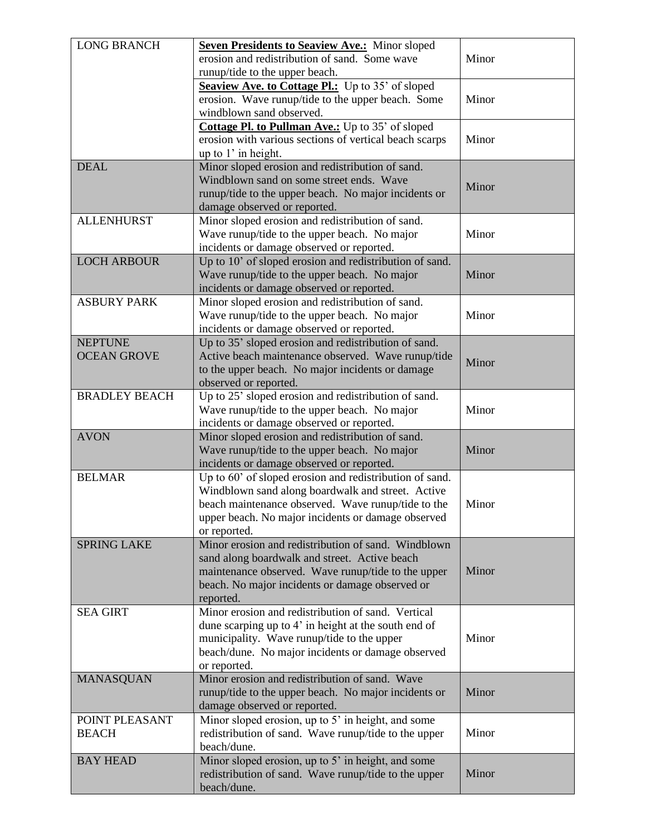| erosion and redistribution of sand. Some wave<br>Minor<br>runup/tide to the upper beach.<br>Seaview Ave. to Cottage Pl.: Up to 35' of sloped<br>erosion. Wave runup/tide to the upper beach. Some<br>Minor<br>windblown sand observed.<br>Cottage Pl. to Pullman Ave.: Up to 35' of sloped<br>Minor<br>erosion with various sections of vertical beach scarps<br>up to 1' in height.<br><b>DEAL</b><br>Minor sloped erosion and redistribution of sand.<br>Windblown sand on some street ends. Wave<br>Minor<br>runup/tide to the upper beach. No major incidents or<br>damage observed or reported.<br>Minor sloped erosion and redistribution of sand.<br><b>ALLENHURST</b><br>Minor<br>Wave runup/tide to the upper beach. No major<br>incidents or damage observed or reported.<br><b>LOCH ARBOUR</b><br>Up to 10' of sloped erosion and redistribution of sand.<br>Wave runup/tide to the upper beach. No major<br>Minor<br>incidents or damage observed or reported.<br>Minor sloped erosion and redistribution of sand.<br><b>ASBURY PARK</b><br>Minor<br>Wave runup/tide to the upper beach. No major<br>incidents or damage observed or reported.<br>Up to 35' sloped erosion and redistribution of sand.<br><b>NEPTUNE</b><br><b>OCEAN GROVE</b><br>Active beach maintenance observed. Wave runup/tide<br>Minor<br>to the upper beach. No major incidents or damage<br>observed or reported.<br><b>BRADLEY BEACH</b><br>Up to 25' sloped erosion and redistribution of sand.<br>Minor<br>Wave runup/tide to the upper beach. No major<br>incidents or damage observed or reported.<br><b>AVON</b><br>Minor sloped erosion and redistribution of sand.<br>Minor<br>Wave runup/tide to the upper beach. No major<br>incidents or damage observed or reported.<br>Up to 60' of sloped erosion and redistribution of sand.<br><b>BELMAR</b><br>Windblown sand along boardwalk and street. Active<br>beach maintenance observed. Wave runup/tide to the<br>Minor<br>upper beach. No major incidents or damage observed<br>or reported.<br>Minor erosion and redistribution of sand. Windblown<br><b>SPRING LAKE</b><br>sand along boardwalk and street. Active beach<br>maintenance observed. Wave runup/tide to the upper<br>Minor<br>beach. No major incidents or damage observed or<br>reported.<br>Minor erosion and redistribution of sand. Vertical<br><b>SEA GIRT</b><br>dune scarping up to 4' in height at the south end of<br>Minor<br>municipality. Wave runup/tide to the upper<br>beach/dune. No major incidents or damage observed<br>or reported.<br>Minor erosion and redistribution of sand. Wave<br><b>MANASQUAN</b><br>Minor<br>runup/tide to the upper beach. No major incidents or<br>damage observed or reported. | <b>LONG BRANCH</b> | <b>Seven Presidents to Seaview Ave.:</b> Minor sloped |  |
|----------------------------------------------------------------------------------------------------------------------------------------------------------------------------------------------------------------------------------------------------------------------------------------------------------------------------------------------------------------------------------------------------------------------------------------------------------------------------------------------------------------------------------------------------------------------------------------------------------------------------------------------------------------------------------------------------------------------------------------------------------------------------------------------------------------------------------------------------------------------------------------------------------------------------------------------------------------------------------------------------------------------------------------------------------------------------------------------------------------------------------------------------------------------------------------------------------------------------------------------------------------------------------------------------------------------------------------------------------------------------------------------------------------------------------------------------------------------------------------------------------------------------------------------------------------------------------------------------------------------------------------------------------------------------------------------------------------------------------------------------------------------------------------------------------------------------------------------------------------------------------------------------------------------------------------------------------------------------------------------------------------------------------------------------------------------------------------------------------------------------------------------------------------------------------------------------------------------------------------------------------------------------------------------------------------------------------------------------------------------------------------------------------------------------------------------------------------------------------------------------------------------------------------------------------------------------------------------------------------------------------------------------------------------------------------------------------------------------------------------|--------------------|-------------------------------------------------------|--|
|                                                                                                                                                                                                                                                                                                                                                                                                                                                                                                                                                                                                                                                                                                                                                                                                                                                                                                                                                                                                                                                                                                                                                                                                                                                                                                                                                                                                                                                                                                                                                                                                                                                                                                                                                                                                                                                                                                                                                                                                                                                                                                                                                                                                                                                                                                                                                                                                                                                                                                                                                                                                                                                                                                                                              |                    |                                                       |  |
|                                                                                                                                                                                                                                                                                                                                                                                                                                                                                                                                                                                                                                                                                                                                                                                                                                                                                                                                                                                                                                                                                                                                                                                                                                                                                                                                                                                                                                                                                                                                                                                                                                                                                                                                                                                                                                                                                                                                                                                                                                                                                                                                                                                                                                                                                                                                                                                                                                                                                                                                                                                                                                                                                                                                              |                    |                                                       |  |
|                                                                                                                                                                                                                                                                                                                                                                                                                                                                                                                                                                                                                                                                                                                                                                                                                                                                                                                                                                                                                                                                                                                                                                                                                                                                                                                                                                                                                                                                                                                                                                                                                                                                                                                                                                                                                                                                                                                                                                                                                                                                                                                                                                                                                                                                                                                                                                                                                                                                                                                                                                                                                                                                                                                                              |                    |                                                       |  |
|                                                                                                                                                                                                                                                                                                                                                                                                                                                                                                                                                                                                                                                                                                                                                                                                                                                                                                                                                                                                                                                                                                                                                                                                                                                                                                                                                                                                                                                                                                                                                                                                                                                                                                                                                                                                                                                                                                                                                                                                                                                                                                                                                                                                                                                                                                                                                                                                                                                                                                                                                                                                                                                                                                                                              |                    |                                                       |  |
|                                                                                                                                                                                                                                                                                                                                                                                                                                                                                                                                                                                                                                                                                                                                                                                                                                                                                                                                                                                                                                                                                                                                                                                                                                                                                                                                                                                                                                                                                                                                                                                                                                                                                                                                                                                                                                                                                                                                                                                                                                                                                                                                                                                                                                                                                                                                                                                                                                                                                                                                                                                                                                                                                                                                              |                    |                                                       |  |
|                                                                                                                                                                                                                                                                                                                                                                                                                                                                                                                                                                                                                                                                                                                                                                                                                                                                                                                                                                                                                                                                                                                                                                                                                                                                                                                                                                                                                                                                                                                                                                                                                                                                                                                                                                                                                                                                                                                                                                                                                                                                                                                                                                                                                                                                                                                                                                                                                                                                                                                                                                                                                                                                                                                                              |                    |                                                       |  |
|                                                                                                                                                                                                                                                                                                                                                                                                                                                                                                                                                                                                                                                                                                                                                                                                                                                                                                                                                                                                                                                                                                                                                                                                                                                                                                                                                                                                                                                                                                                                                                                                                                                                                                                                                                                                                                                                                                                                                                                                                                                                                                                                                                                                                                                                                                                                                                                                                                                                                                                                                                                                                                                                                                                                              |                    |                                                       |  |
|                                                                                                                                                                                                                                                                                                                                                                                                                                                                                                                                                                                                                                                                                                                                                                                                                                                                                                                                                                                                                                                                                                                                                                                                                                                                                                                                                                                                                                                                                                                                                                                                                                                                                                                                                                                                                                                                                                                                                                                                                                                                                                                                                                                                                                                                                                                                                                                                                                                                                                                                                                                                                                                                                                                                              |                    |                                                       |  |
|                                                                                                                                                                                                                                                                                                                                                                                                                                                                                                                                                                                                                                                                                                                                                                                                                                                                                                                                                                                                                                                                                                                                                                                                                                                                                                                                                                                                                                                                                                                                                                                                                                                                                                                                                                                                                                                                                                                                                                                                                                                                                                                                                                                                                                                                                                                                                                                                                                                                                                                                                                                                                                                                                                                                              |                    |                                                       |  |
|                                                                                                                                                                                                                                                                                                                                                                                                                                                                                                                                                                                                                                                                                                                                                                                                                                                                                                                                                                                                                                                                                                                                                                                                                                                                                                                                                                                                                                                                                                                                                                                                                                                                                                                                                                                                                                                                                                                                                                                                                                                                                                                                                                                                                                                                                                                                                                                                                                                                                                                                                                                                                                                                                                                                              |                    |                                                       |  |
|                                                                                                                                                                                                                                                                                                                                                                                                                                                                                                                                                                                                                                                                                                                                                                                                                                                                                                                                                                                                                                                                                                                                                                                                                                                                                                                                                                                                                                                                                                                                                                                                                                                                                                                                                                                                                                                                                                                                                                                                                                                                                                                                                                                                                                                                                                                                                                                                                                                                                                                                                                                                                                                                                                                                              |                    |                                                       |  |
|                                                                                                                                                                                                                                                                                                                                                                                                                                                                                                                                                                                                                                                                                                                                                                                                                                                                                                                                                                                                                                                                                                                                                                                                                                                                                                                                                                                                                                                                                                                                                                                                                                                                                                                                                                                                                                                                                                                                                                                                                                                                                                                                                                                                                                                                                                                                                                                                                                                                                                                                                                                                                                                                                                                                              |                    |                                                       |  |
|                                                                                                                                                                                                                                                                                                                                                                                                                                                                                                                                                                                                                                                                                                                                                                                                                                                                                                                                                                                                                                                                                                                                                                                                                                                                                                                                                                                                                                                                                                                                                                                                                                                                                                                                                                                                                                                                                                                                                                                                                                                                                                                                                                                                                                                                                                                                                                                                                                                                                                                                                                                                                                                                                                                                              |                    |                                                       |  |
|                                                                                                                                                                                                                                                                                                                                                                                                                                                                                                                                                                                                                                                                                                                                                                                                                                                                                                                                                                                                                                                                                                                                                                                                                                                                                                                                                                                                                                                                                                                                                                                                                                                                                                                                                                                                                                                                                                                                                                                                                                                                                                                                                                                                                                                                                                                                                                                                                                                                                                                                                                                                                                                                                                                                              |                    |                                                       |  |
|                                                                                                                                                                                                                                                                                                                                                                                                                                                                                                                                                                                                                                                                                                                                                                                                                                                                                                                                                                                                                                                                                                                                                                                                                                                                                                                                                                                                                                                                                                                                                                                                                                                                                                                                                                                                                                                                                                                                                                                                                                                                                                                                                                                                                                                                                                                                                                                                                                                                                                                                                                                                                                                                                                                                              |                    |                                                       |  |
|                                                                                                                                                                                                                                                                                                                                                                                                                                                                                                                                                                                                                                                                                                                                                                                                                                                                                                                                                                                                                                                                                                                                                                                                                                                                                                                                                                                                                                                                                                                                                                                                                                                                                                                                                                                                                                                                                                                                                                                                                                                                                                                                                                                                                                                                                                                                                                                                                                                                                                                                                                                                                                                                                                                                              |                    |                                                       |  |
|                                                                                                                                                                                                                                                                                                                                                                                                                                                                                                                                                                                                                                                                                                                                                                                                                                                                                                                                                                                                                                                                                                                                                                                                                                                                                                                                                                                                                                                                                                                                                                                                                                                                                                                                                                                                                                                                                                                                                                                                                                                                                                                                                                                                                                                                                                                                                                                                                                                                                                                                                                                                                                                                                                                                              |                    |                                                       |  |
|                                                                                                                                                                                                                                                                                                                                                                                                                                                                                                                                                                                                                                                                                                                                                                                                                                                                                                                                                                                                                                                                                                                                                                                                                                                                                                                                                                                                                                                                                                                                                                                                                                                                                                                                                                                                                                                                                                                                                                                                                                                                                                                                                                                                                                                                                                                                                                                                                                                                                                                                                                                                                                                                                                                                              |                    |                                                       |  |
|                                                                                                                                                                                                                                                                                                                                                                                                                                                                                                                                                                                                                                                                                                                                                                                                                                                                                                                                                                                                                                                                                                                                                                                                                                                                                                                                                                                                                                                                                                                                                                                                                                                                                                                                                                                                                                                                                                                                                                                                                                                                                                                                                                                                                                                                                                                                                                                                                                                                                                                                                                                                                                                                                                                                              |                    |                                                       |  |
|                                                                                                                                                                                                                                                                                                                                                                                                                                                                                                                                                                                                                                                                                                                                                                                                                                                                                                                                                                                                                                                                                                                                                                                                                                                                                                                                                                                                                                                                                                                                                                                                                                                                                                                                                                                                                                                                                                                                                                                                                                                                                                                                                                                                                                                                                                                                                                                                                                                                                                                                                                                                                                                                                                                                              |                    |                                                       |  |
|                                                                                                                                                                                                                                                                                                                                                                                                                                                                                                                                                                                                                                                                                                                                                                                                                                                                                                                                                                                                                                                                                                                                                                                                                                                                                                                                                                                                                                                                                                                                                                                                                                                                                                                                                                                                                                                                                                                                                                                                                                                                                                                                                                                                                                                                                                                                                                                                                                                                                                                                                                                                                                                                                                                                              |                    |                                                       |  |
|                                                                                                                                                                                                                                                                                                                                                                                                                                                                                                                                                                                                                                                                                                                                                                                                                                                                                                                                                                                                                                                                                                                                                                                                                                                                                                                                                                                                                                                                                                                                                                                                                                                                                                                                                                                                                                                                                                                                                                                                                                                                                                                                                                                                                                                                                                                                                                                                                                                                                                                                                                                                                                                                                                                                              |                    |                                                       |  |
|                                                                                                                                                                                                                                                                                                                                                                                                                                                                                                                                                                                                                                                                                                                                                                                                                                                                                                                                                                                                                                                                                                                                                                                                                                                                                                                                                                                                                                                                                                                                                                                                                                                                                                                                                                                                                                                                                                                                                                                                                                                                                                                                                                                                                                                                                                                                                                                                                                                                                                                                                                                                                                                                                                                                              |                    |                                                       |  |
|                                                                                                                                                                                                                                                                                                                                                                                                                                                                                                                                                                                                                                                                                                                                                                                                                                                                                                                                                                                                                                                                                                                                                                                                                                                                                                                                                                                                                                                                                                                                                                                                                                                                                                                                                                                                                                                                                                                                                                                                                                                                                                                                                                                                                                                                                                                                                                                                                                                                                                                                                                                                                                                                                                                                              |                    |                                                       |  |
|                                                                                                                                                                                                                                                                                                                                                                                                                                                                                                                                                                                                                                                                                                                                                                                                                                                                                                                                                                                                                                                                                                                                                                                                                                                                                                                                                                                                                                                                                                                                                                                                                                                                                                                                                                                                                                                                                                                                                                                                                                                                                                                                                                                                                                                                                                                                                                                                                                                                                                                                                                                                                                                                                                                                              |                    |                                                       |  |
|                                                                                                                                                                                                                                                                                                                                                                                                                                                                                                                                                                                                                                                                                                                                                                                                                                                                                                                                                                                                                                                                                                                                                                                                                                                                                                                                                                                                                                                                                                                                                                                                                                                                                                                                                                                                                                                                                                                                                                                                                                                                                                                                                                                                                                                                                                                                                                                                                                                                                                                                                                                                                                                                                                                                              |                    |                                                       |  |
|                                                                                                                                                                                                                                                                                                                                                                                                                                                                                                                                                                                                                                                                                                                                                                                                                                                                                                                                                                                                                                                                                                                                                                                                                                                                                                                                                                                                                                                                                                                                                                                                                                                                                                                                                                                                                                                                                                                                                                                                                                                                                                                                                                                                                                                                                                                                                                                                                                                                                                                                                                                                                                                                                                                                              |                    |                                                       |  |
|                                                                                                                                                                                                                                                                                                                                                                                                                                                                                                                                                                                                                                                                                                                                                                                                                                                                                                                                                                                                                                                                                                                                                                                                                                                                                                                                                                                                                                                                                                                                                                                                                                                                                                                                                                                                                                                                                                                                                                                                                                                                                                                                                                                                                                                                                                                                                                                                                                                                                                                                                                                                                                                                                                                                              |                    |                                                       |  |
|                                                                                                                                                                                                                                                                                                                                                                                                                                                                                                                                                                                                                                                                                                                                                                                                                                                                                                                                                                                                                                                                                                                                                                                                                                                                                                                                                                                                                                                                                                                                                                                                                                                                                                                                                                                                                                                                                                                                                                                                                                                                                                                                                                                                                                                                                                                                                                                                                                                                                                                                                                                                                                                                                                                                              |                    |                                                       |  |
|                                                                                                                                                                                                                                                                                                                                                                                                                                                                                                                                                                                                                                                                                                                                                                                                                                                                                                                                                                                                                                                                                                                                                                                                                                                                                                                                                                                                                                                                                                                                                                                                                                                                                                                                                                                                                                                                                                                                                                                                                                                                                                                                                                                                                                                                                                                                                                                                                                                                                                                                                                                                                                                                                                                                              |                    |                                                       |  |
|                                                                                                                                                                                                                                                                                                                                                                                                                                                                                                                                                                                                                                                                                                                                                                                                                                                                                                                                                                                                                                                                                                                                                                                                                                                                                                                                                                                                                                                                                                                                                                                                                                                                                                                                                                                                                                                                                                                                                                                                                                                                                                                                                                                                                                                                                                                                                                                                                                                                                                                                                                                                                                                                                                                                              |                    |                                                       |  |
|                                                                                                                                                                                                                                                                                                                                                                                                                                                                                                                                                                                                                                                                                                                                                                                                                                                                                                                                                                                                                                                                                                                                                                                                                                                                                                                                                                                                                                                                                                                                                                                                                                                                                                                                                                                                                                                                                                                                                                                                                                                                                                                                                                                                                                                                                                                                                                                                                                                                                                                                                                                                                                                                                                                                              |                    |                                                       |  |
|                                                                                                                                                                                                                                                                                                                                                                                                                                                                                                                                                                                                                                                                                                                                                                                                                                                                                                                                                                                                                                                                                                                                                                                                                                                                                                                                                                                                                                                                                                                                                                                                                                                                                                                                                                                                                                                                                                                                                                                                                                                                                                                                                                                                                                                                                                                                                                                                                                                                                                                                                                                                                                                                                                                                              |                    |                                                       |  |
|                                                                                                                                                                                                                                                                                                                                                                                                                                                                                                                                                                                                                                                                                                                                                                                                                                                                                                                                                                                                                                                                                                                                                                                                                                                                                                                                                                                                                                                                                                                                                                                                                                                                                                                                                                                                                                                                                                                                                                                                                                                                                                                                                                                                                                                                                                                                                                                                                                                                                                                                                                                                                                                                                                                                              |                    |                                                       |  |
|                                                                                                                                                                                                                                                                                                                                                                                                                                                                                                                                                                                                                                                                                                                                                                                                                                                                                                                                                                                                                                                                                                                                                                                                                                                                                                                                                                                                                                                                                                                                                                                                                                                                                                                                                                                                                                                                                                                                                                                                                                                                                                                                                                                                                                                                                                                                                                                                                                                                                                                                                                                                                                                                                                                                              |                    |                                                       |  |
|                                                                                                                                                                                                                                                                                                                                                                                                                                                                                                                                                                                                                                                                                                                                                                                                                                                                                                                                                                                                                                                                                                                                                                                                                                                                                                                                                                                                                                                                                                                                                                                                                                                                                                                                                                                                                                                                                                                                                                                                                                                                                                                                                                                                                                                                                                                                                                                                                                                                                                                                                                                                                                                                                                                                              |                    |                                                       |  |
|                                                                                                                                                                                                                                                                                                                                                                                                                                                                                                                                                                                                                                                                                                                                                                                                                                                                                                                                                                                                                                                                                                                                                                                                                                                                                                                                                                                                                                                                                                                                                                                                                                                                                                                                                                                                                                                                                                                                                                                                                                                                                                                                                                                                                                                                                                                                                                                                                                                                                                                                                                                                                                                                                                                                              |                    |                                                       |  |
|                                                                                                                                                                                                                                                                                                                                                                                                                                                                                                                                                                                                                                                                                                                                                                                                                                                                                                                                                                                                                                                                                                                                                                                                                                                                                                                                                                                                                                                                                                                                                                                                                                                                                                                                                                                                                                                                                                                                                                                                                                                                                                                                                                                                                                                                                                                                                                                                                                                                                                                                                                                                                                                                                                                                              |                    |                                                       |  |
|                                                                                                                                                                                                                                                                                                                                                                                                                                                                                                                                                                                                                                                                                                                                                                                                                                                                                                                                                                                                                                                                                                                                                                                                                                                                                                                                                                                                                                                                                                                                                                                                                                                                                                                                                                                                                                                                                                                                                                                                                                                                                                                                                                                                                                                                                                                                                                                                                                                                                                                                                                                                                                                                                                                                              |                    |                                                       |  |
|                                                                                                                                                                                                                                                                                                                                                                                                                                                                                                                                                                                                                                                                                                                                                                                                                                                                                                                                                                                                                                                                                                                                                                                                                                                                                                                                                                                                                                                                                                                                                                                                                                                                                                                                                                                                                                                                                                                                                                                                                                                                                                                                                                                                                                                                                                                                                                                                                                                                                                                                                                                                                                                                                                                                              |                    |                                                       |  |
|                                                                                                                                                                                                                                                                                                                                                                                                                                                                                                                                                                                                                                                                                                                                                                                                                                                                                                                                                                                                                                                                                                                                                                                                                                                                                                                                                                                                                                                                                                                                                                                                                                                                                                                                                                                                                                                                                                                                                                                                                                                                                                                                                                                                                                                                                                                                                                                                                                                                                                                                                                                                                                                                                                                                              |                    |                                                       |  |
|                                                                                                                                                                                                                                                                                                                                                                                                                                                                                                                                                                                                                                                                                                                                                                                                                                                                                                                                                                                                                                                                                                                                                                                                                                                                                                                                                                                                                                                                                                                                                                                                                                                                                                                                                                                                                                                                                                                                                                                                                                                                                                                                                                                                                                                                                                                                                                                                                                                                                                                                                                                                                                                                                                                                              |                    |                                                       |  |
|                                                                                                                                                                                                                                                                                                                                                                                                                                                                                                                                                                                                                                                                                                                                                                                                                                                                                                                                                                                                                                                                                                                                                                                                                                                                                                                                                                                                                                                                                                                                                                                                                                                                                                                                                                                                                                                                                                                                                                                                                                                                                                                                                                                                                                                                                                                                                                                                                                                                                                                                                                                                                                                                                                                                              |                    |                                                       |  |
|                                                                                                                                                                                                                                                                                                                                                                                                                                                                                                                                                                                                                                                                                                                                                                                                                                                                                                                                                                                                                                                                                                                                                                                                                                                                                                                                                                                                                                                                                                                                                                                                                                                                                                                                                                                                                                                                                                                                                                                                                                                                                                                                                                                                                                                                                                                                                                                                                                                                                                                                                                                                                                                                                                                                              |                    |                                                       |  |
|                                                                                                                                                                                                                                                                                                                                                                                                                                                                                                                                                                                                                                                                                                                                                                                                                                                                                                                                                                                                                                                                                                                                                                                                                                                                                                                                                                                                                                                                                                                                                                                                                                                                                                                                                                                                                                                                                                                                                                                                                                                                                                                                                                                                                                                                                                                                                                                                                                                                                                                                                                                                                                                                                                                                              |                    |                                                       |  |
|                                                                                                                                                                                                                                                                                                                                                                                                                                                                                                                                                                                                                                                                                                                                                                                                                                                                                                                                                                                                                                                                                                                                                                                                                                                                                                                                                                                                                                                                                                                                                                                                                                                                                                                                                                                                                                                                                                                                                                                                                                                                                                                                                                                                                                                                                                                                                                                                                                                                                                                                                                                                                                                                                                                                              |                    |                                                       |  |
|                                                                                                                                                                                                                                                                                                                                                                                                                                                                                                                                                                                                                                                                                                                                                                                                                                                                                                                                                                                                                                                                                                                                                                                                                                                                                                                                                                                                                                                                                                                                                                                                                                                                                                                                                                                                                                                                                                                                                                                                                                                                                                                                                                                                                                                                                                                                                                                                                                                                                                                                                                                                                                                                                                                                              |                    |                                                       |  |
|                                                                                                                                                                                                                                                                                                                                                                                                                                                                                                                                                                                                                                                                                                                                                                                                                                                                                                                                                                                                                                                                                                                                                                                                                                                                                                                                                                                                                                                                                                                                                                                                                                                                                                                                                                                                                                                                                                                                                                                                                                                                                                                                                                                                                                                                                                                                                                                                                                                                                                                                                                                                                                                                                                                                              |                    |                                                       |  |
|                                                                                                                                                                                                                                                                                                                                                                                                                                                                                                                                                                                                                                                                                                                                                                                                                                                                                                                                                                                                                                                                                                                                                                                                                                                                                                                                                                                                                                                                                                                                                                                                                                                                                                                                                                                                                                                                                                                                                                                                                                                                                                                                                                                                                                                                                                                                                                                                                                                                                                                                                                                                                                                                                                                                              |                    |                                                       |  |
| Minor sloped erosion, up to 5' in height, and some<br>POINT PLEASANT                                                                                                                                                                                                                                                                                                                                                                                                                                                                                                                                                                                                                                                                                                                                                                                                                                                                                                                                                                                                                                                                                                                                                                                                                                                                                                                                                                                                                                                                                                                                                                                                                                                                                                                                                                                                                                                                                                                                                                                                                                                                                                                                                                                                                                                                                                                                                                                                                                                                                                                                                                                                                                                                         |                    |                                                       |  |
| Minor<br><b>BEACH</b><br>redistribution of sand. Wave runup/tide to the upper                                                                                                                                                                                                                                                                                                                                                                                                                                                                                                                                                                                                                                                                                                                                                                                                                                                                                                                                                                                                                                                                                                                                                                                                                                                                                                                                                                                                                                                                                                                                                                                                                                                                                                                                                                                                                                                                                                                                                                                                                                                                                                                                                                                                                                                                                                                                                                                                                                                                                                                                                                                                                                                                |                    |                                                       |  |
| beach/dune.                                                                                                                                                                                                                                                                                                                                                                                                                                                                                                                                                                                                                                                                                                                                                                                                                                                                                                                                                                                                                                                                                                                                                                                                                                                                                                                                                                                                                                                                                                                                                                                                                                                                                                                                                                                                                                                                                                                                                                                                                                                                                                                                                                                                                                                                                                                                                                                                                                                                                                                                                                                                                                                                                                                                  |                    |                                                       |  |
| <b>BAY HEAD</b><br>Minor sloped erosion, up to 5' in height, and some                                                                                                                                                                                                                                                                                                                                                                                                                                                                                                                                                                                                                                                                                                                                                                                                                                                                                                                                                                                                                                                                                                                                                                                                                                                                                                                                                                                                                                                                                                                                                                                                                                                                                                                                                                                                                                                                                                                                                                                                                                                                                                                                                                                                                                                                                                                                                                                                                                                                                                                                                                                                                                                                        |                    |                                                       |  |
| Minor<br>redistribution of sand. Wave runup/tide to the upper                                                                                                                                                                                                                                                                                                                                                                                                                                                                                                                                                                                                                                                                                                                                                                                                                                                                                                                                                                                                                                                                                                                                                                                                                                                                                                                                                                                                                                                                                                                                                                                                                                                                                                                                                                                                                                                                                                                                                                                                                                                                                                                                                                                                                                                                                                                                                                                                                                                                                                                                                                                                                                                                                |                    |                                                       |  |
| beach/dune.                                                                                                                                                                                                                                                                                                                                                                                                                                                                                                                                                                                                                                                                                                                                                                                                                                                                                                                                                                                                                                                                                                                                                                                                                                                                                                                                                                                                                                                                                                                                                                                                                                                                                                                                                                                                                                                                                                                                                                                                                                                                                                                                                                                                                                                                                                                                                                                                                                                                                                                                                                                                                                                                                                                                  |                    |                                                       |  |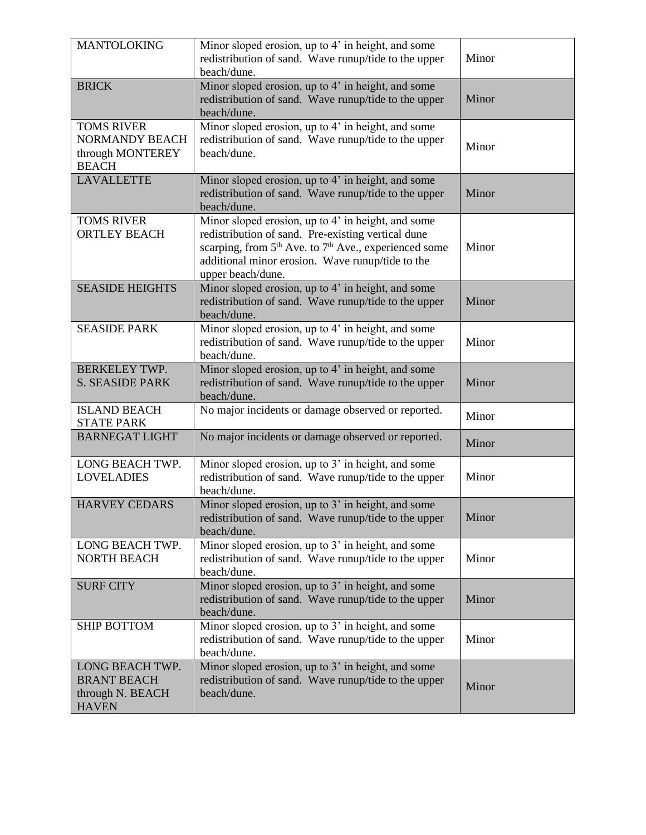| <b>MANTOLOKING</b>                                                             | Minor sloped erosion, up to 4' in height, and some<br>redistribution of sand. Wave runup/tide to the upper<br>beach/dune.                                                                                                                                          | Minor |
|--------------------------------------------------------------------------------|--------------------------------------------------------------------------------------------------------------------------------------------------------------------------------------------------------------------------------------------------------------------|-------|
| <b>BRICK</b>                                                                   | Minor sloped erosion, up to 4' in height, and some<br>redistribution of sand. Wave runup/tide to the upper<br>beach/dune.                                                                                                                                          | Minor |
| <b>TOMS RIVER</b><br><b>NORMANDY BEACH</b><br>through MONTEREY<br><b>BEACH</b> | Minor sloped erosion, up to 4' in height, and some<br>redistribution of sand. Wave runup/tide to the upper<br>beach/dune.                                                                                                                                          | Minor |
| <b>LAVALLETTE</b>                                                              | Minor sloped erosion, up to 4' in height, and some<br>redistribution of sand. Wave runup/tide to the upper<br>beach/dune.                                                                                                                                          | Minor |
| <b>TOMS RIVER</b><br><b>ORTLEY BEACH</b>                                       | Minor sloped erosion, up to 4' in height, and some<br>redistribution of sand. Pre-existing vertical dune<br>scarping, from 5 <sup>th</sup> Ave. to 7 <sup>th</sup> Ave., experienced some<br>additional minor erosion. Wave runup/tide to the<br>upper beach/dune. | Minor |
| <b>SEASIDE HEIGHTS</b>                                                         | Minor sloped erosion, up to 4' in height, and some<br>redistribution of sand. Wave runup/tide to the upper<br>beach/dune.                                                                                                                                          | Minor |
| <b>SEASIDE PARK</b>                                                            | Minor sloped erosion, up to 4' in height, and some<br>redistribution of sand. Wave runup/tide to the upper<br>beach/dune.                                                                                                                                          | Minor |
| <b>BERKELEY TWP.</b><br><b>S. SEASIDE PARK</b>                                 | Minor sloped erosion, up to 4' in height, and some<br>redistribution of sand. Wave runup/tide to the upper<br>beach/dune.                                                                                                                                          | Minor |
| <b>ISLAND BEACH</b><br><b>STATE PARK</b>                                       | No major incidents or damage observed or reported.                                                                                                                                                                                                                 | Minor |
| <b>BARNEGAT LIGHT</b>                                                          | No major incidents or damage observed or reported.                                                                                                                                                                                                                 | Minor |
| LONG BEACH TWP.<br><b>LOVELADIES</b>                                           | Minor sloped erosion, up to 3' in height, and some<br>redistribution of sand. Wave runup/tide to the upper<br>beach/dune.                                                                                                                                          | Minor |
| <b>HARVEY CEDARS</b>                                                           | Minor sloped erosion, up to 3' in height, and some<br>redistribution of sand. Wave runup/tide to the upper<br>beach/dune.                                                                                                                                          | Minor |
| LONG BEACH TWP.<br>NORTH BEACH                                                 | Minor sloped erosion, up to 3' in height, and some<br>redistribution of sand. Wave runup/tide to the upper<br>beach/dune.                                                                                                                                          | Minor |
| <b>SURF CITY</b>                                                               | Minor sloped erosion, up to 3' in height, and some<br>redistribution of sand. Wave runup/tide to the upper<br>beach/dune.                                                                                                                                          | Minor |
| <b>SHIP BOTTOM</b>                                                             | Minor sloped erosion, up to 3' in height, and some<br>redistribution of sand. Wave runup/tide to the upper<br>beach/dune.                                                                                                                                          | Minor |
| LONG BEACH TWP.<br><b>BRANT BEACH</b><br>through N. BEACH<br><b>HAVEN</b>      | Minor sloped erosion, up to 3' in height, and some<br>redistribution of sand. Wave runup/tide to the upper<br>beach/dune.                                                                                                                                          | Minor |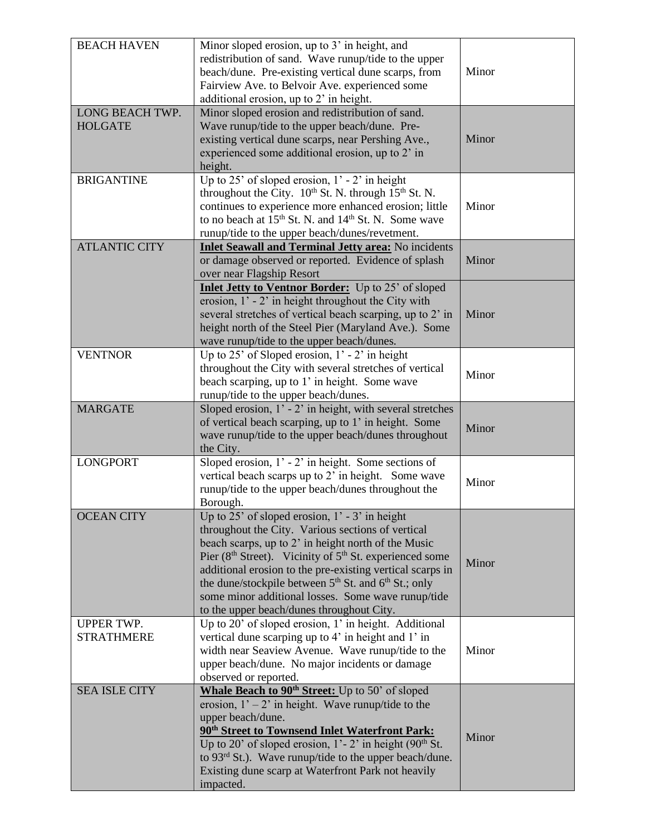| <b>BEACH HAVEN</b>                     | Minor sloped erosion, up to 3' in height, and<br>redistribution of sand. Wave runup/tide to the upper<br>beach/dune. Pre-existing vertical dune scarps, from<br>Fairview Ave. to Belvoir Ave. experienced some<br>additional erosion, up to 2' in height.                                                                                                                                                                                                                     | Minor |
|----------------------------------------|-------------------------------------------------------------------------------------------------------------------------------------------------------------------------------------------------------------------------------------------------------------------------------------------------------------------------------------------------------------------------------------------------------------------------------------------------------------------------------|-------|
| LONG BEACH TWP.<br><b>HOLGATE</b>      | Minor sloped erosion and redistribution of sand.<br>Wave runup/tide to the upper beach/dune. Pre-<br>existing vertical dune scarps, near Pershing Ave.,<br>experienced some additional erosion, up to 2' in<br>height.                                                                                                                                                                                                                                                        | Minor |
| <b>BRIGANTINE</b>                      | Up to 25' of sloped erosion, $1'$ - 2' in height<br>throughout the City. 10th St. N. through 15th St. N.<br>continues to experience more enhanced erosion; little<br>to no beach at 15 <sup>th</sup> St. N. and 14 <sup>th</sup> St. N. Some wave<br>runup/tide to the upper beach/dunes/revetment.                                                                                                                                                                           | Minor |
| <b>ATLANTIC CITY</b>                   | Inlet Seawall and Terminal Jetty area: No incidents<br>or damage observed or reported. Evidence of splash<br>over near Flagship Resort                                                                                                                                                                                                                                                                                                                                        | Minor |
|                                        | <b>Inlet Jetty to Ventnor Border:</b> Up to 25' of sloped<br>erosion, $1'$ - $2'$ in height throughout the City with<br>several stretches of vertical beach scarping, up to 2' in<br>height north of the Steel Pier (Maryland Ave.). Some<br>wave runup/tide to the upper beach/dunes.                                                                                                                                                                                        | Minor |
| <b>VENTNOR</b>                         | Up to 25' of Sloped erosion, $1'$ - 2' in height<br>throughout the City with several stretches of vertical<br>beach scarping, up to 1' in height. Some wave<br>runup/tide to the upper beach/dunes.                                                                                                                                                                                                                                                                           | Minor |
| <b>MARGATE</b>                         | Sloped erosion, $1'$ - $2'$ in height, with several stretches<br>of vertical beach scarping, up to 1' in height. Some<br>wave runup/tide to the upper beach/dunes throughout<br>the City.                                                                                                                                                                                                                                                                                     | Minor |
| <b>LONGPORT</b>                        | Sloped erosion, $1'$ - $2'$ in height. Some sections of<br>vertical beach scarps up to 2' in height. Some wave<br>runup/tide to the upper beach/dunes throughout the<br>Borough.                                                                                                                                                                                                                                                                                              | Minor |
| <b>OCEAN CITY</b>                      | Up to $25'$ of sloped erosion, $1'$ - 3' in height<br>throughout the City. Various sections of vertical<br>beach scarps, up to 2' in height north of the Music<br>Pier (8 <sup>th</sup> Street). Vicinity of 5 <sup>th</sup> St. experienced some<br>additional erosion to the pre-existing vertical scarps in<br>the dune/stockpile between $5th$ St. and $6th$ St.; only<br>some minor additional losses. Some wave runup/tide<br>to the upper beach/dunes throughout City. | Minor |
| <b>UPPER TWP.</b><br><b>STRATHMERE</b> | Up to 20' of sloped erosion, 1' in height. Additional<br>vertical dune scarping up to 4' in height and 1' in<br>width near Seaview Avenue. Wave runup/tide to the<br>upper beach/dune. No major incidents or damage<br>observed or reported.                                                                                                                                                                                                                                  | Minor |
| <b>SEA ISLE CITY</b>                   | Whale Beach to 90 <sup>th</sup> Street: Up to 50' of sloped<br>erosion, $1' - 2'$ in height. Wave runup/tide to the<br>upper beach/dune.<br>90 <sup>th</sup> Street to Townsend Inlet Waterfront Park:<br>Up to 20' of sloped erosion, $1'-2'$ in height (90 <sup>th</sup> St.<br>to $93rd$ St.). Wave runup/tide to the upper beach/dune.<br>Existing dune scarp at Waterfront Park not heavily<br>impacted.                                                                 | Minor |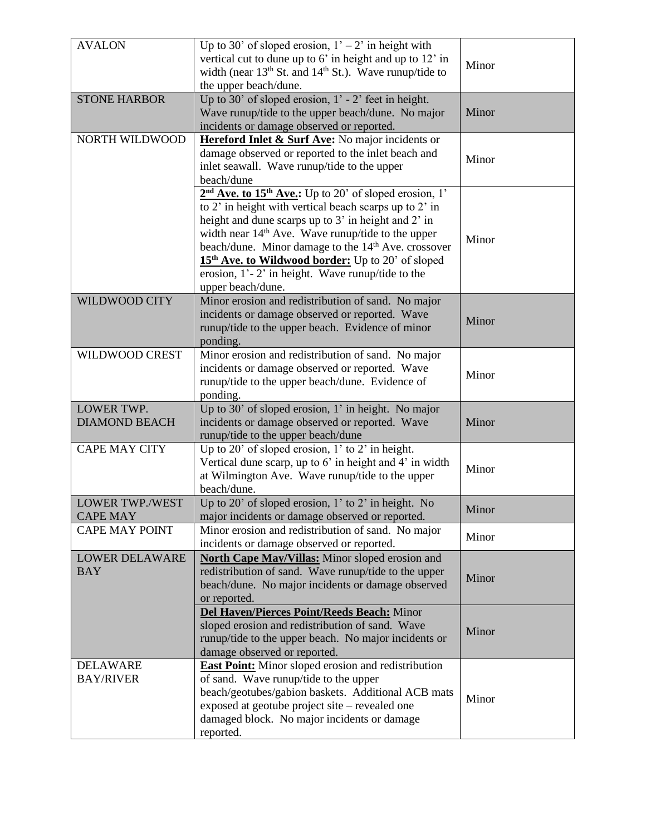| <b>AVALON</b>          | Up to 30' of sloped erosion, $1' - 2'$ in height with                          |       |
|------------------------|--------------------------------------------------------------------------------|-------|
|                        |                                                                                |       |
|                        | vertical cut to dune up to 6' in height and up to 12' in                       | Minor |
|                        | width (near 13 <sup>th</sup> St. and 14 <sup>th</sup> St.). Wave runup/tide to |       |
|                        | the upper beach/dune.                                                          |       |
| <b>STONE HARBOR</b>    | Up to 30' of sloped erosion, $1'$ - 2' feet in height.                         |       |
|                        | Wave runup/tide to the upper beach/dune. No major                              | Minor |
|                        | incidents or damage observed or reported.                                      |       |
| NORTH WILDWOOD         | Hereford Inlet & Surf Ave: No major incidents or                               |       |
|                        | damage observed or reported to the inlet beach and                             | Minor |
|                        | inlet seawall. Wave runup/tide to the upper                                    |       |
|                        | beach/dune                                                                     |       |
|                        | $2nd$ Ave. to 15 <sup>th</sup> Ave.: Up to 20' of sloped erosion, 1'           |       |
|                        | to 2' in height with vertical beach scarps up to 2' in                         |       |
|                        | height and dune scarps up to 3' in height and 2' in                            |       |
|                        | width near $14th$ Ave. Wave runup/tide to the upper                            |       |
|                        | beach/dune. Minor damage to the 14 <sup>th</sup> Ave. crossover                | Minor |
|                        |                                                                                |       |
|                        | 15 <sup>th</sup> Ave. to Wildwood border: Up to 20' of sloped                  |       |
|                        | erosion, $1'-2'$ in height. Wave runup/tide to the                             |       |
|                        | upper beach/dune.                                                              |       |
| WILDWOOD CITY          | Minor erosion and redistribution of sand. No major                             |       |
|                        | incidents or damage observed or reported. Wave                                 | Minor |
|                        | runup/tide to the upper beach. Evidence of minor                               |       |
|                        | ponding.                                                                       |       |
| WILDWOOD CREST         | Minor erosion and redistribution of sand. No major                             |       |
|                        | incidents or damage observed or reported. Wave                                 |       |
|                        | runup/tide to the upper beach/dune. Evidence of                                | Minor |
|                        | ponding.                                                                       |       |
| LOWER TWP.             | Up to 30' of sloped erosion, 1' in height. No major                            |       |
| <b>DIAMOND BEACH</b>   | incidents or damage observed or reported. Wave                                 | Minor |
|                        | runup/tide to the upper beach/dune                                             |       |
| <b>CAPE MAY CITY</b>   | Up to 20' of sloped erosion, $1'$ to 2' in height.                             |       |
|                        |                                                                                |       |
|                        | Vertical dune scarp, up to $6'$ in height and $4'$ in width                    | Minor |
|                        | at Wilmington Ave. Wave runup/tide to the upper                                |       |
|                        | beach/dune.                                                                    |       |
| <b>LOWER TWP./WEST</b> | Up to 20' of sloped erosion, $1'$ to 2' in height. No                          | Minor |
| <b>CAPE MAY</b>        | major incidents or damage observed or reported.                                |       |
| <b>CAPE MAY POINT</b>  | Minor erosion and redistribution of sand. No major                             | Minor |
|                        | incidents or damage observed or reported.                                      |       |
| <b>LOWER DELAWARE</b>  | North Cape May/Villas: Minor sloped erosion and                                |       |
| <b>BAY</b>             | redistribution of sand. Wave runup/tide to the upper                           |       |
|                        | beach/dune. No major incidents or damage observed                              | Minor |
|                        | or reported.                                                                   |       |
|                        | Del Haven/Pierces Point/Reeds Beach: Minor                                     |       |
|                        | sloped erosion and redistribution of sand. Wave                                |       |
|                        | runup/tide to the upper beach. No major incidents or                           | Minor |
|                        | damage observed or reported.                                                   |       |
|                        |                                                                                |       |
| <b>DELAWARE</b>        | <b>East Point:</b> Minor sloped erosion and redistribution                     |       |
| <b>BAY/RIVER</b>       | of sand. Wave runup/tide to the upper                                          |       |
|                        | beach/geotubes/gabion baskets. Additional ACB mats                             | Minor |
|                        | exposed at geotube project site – revealed one                                 |       |
|                        | damaged block. No major incidents or damage                                    |       |
|                        | reported.                                                                      |       |